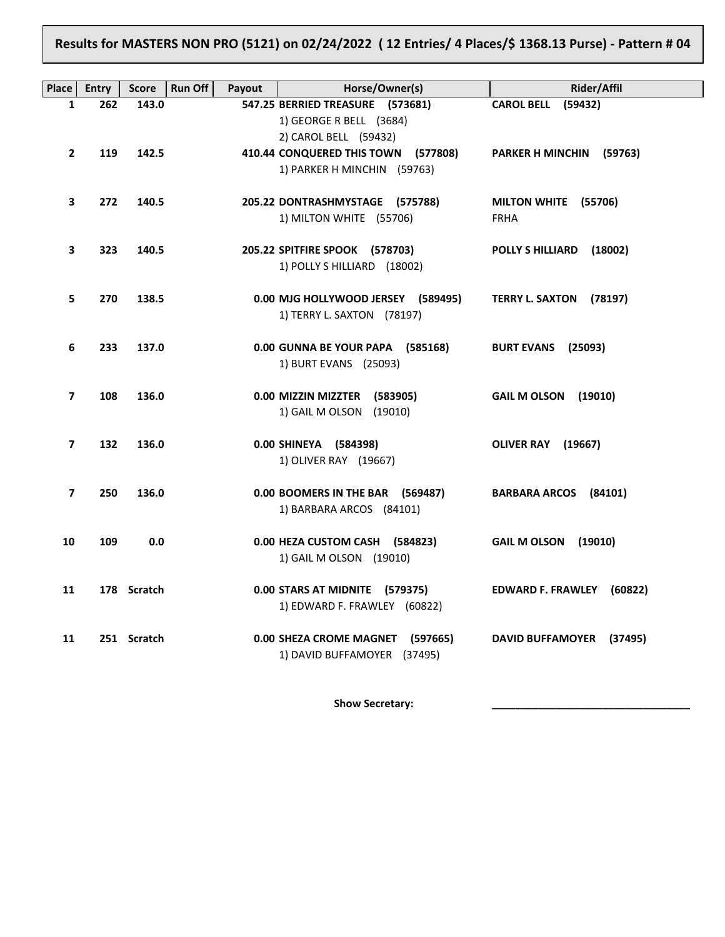## **Results for MASTERS NON PRO (5121) on 02/24/2022 ( 12 Entries/ 4 Places/\$ 1368.13 Purse) - Pattern # 04**

| Place          | Entry | <b>Score</b> | <b>Run Off</b><br>Payout | Horse/Owner(s)                                                                       | Rider/Affil                         |
|----------------|-------|--------------|--------------------------|--------------------------------------------------------------------------------------|-------------------------------------|
| 1              | 262   | 143.0        |                          | 547.25 BERRIED TREASURE (573681)<br>1) GEORGE R BELL (3684)<br>2) CAROL BELL (59432) | (59432)<br><b>CAROL BELL</b>        |
| $\mathbf{2}$   | 119   | 142.5        |                          | 410.44 CONQUERED THIS TOWN (577808)<br>1) PARKER H MINCHIN (59763)                   | PARKER H MINCHIN (59763)            |
| 3              | 272   | 140.5        |                          | 205.22 DONTRASHMYSTAGE (575788)<br>1) MILTON WHITE (55706)                           | MILTON WHITE (55706)<br><b>FRHA</b> |
| 3              | 323   | 140.5        |                          | 205.22 SPITFIRE SPOOK (578703)<br>1) POLLY S HILLIARD (18002)                        | POLLY S HILLIARD (18002)            |
| 5              | 270   | 138.5        |                          | 0.00 MJG HOLLYWOOD JERSEY (589495)<br>1) TERRY L. SAXTON (78197)                     | TERRY L. SAXTON (78197)             |
| 6              | 233   | 137.0        |                          | 0.00 GUNNA BE YOUR PAPA (585168)<br>1) BURT EVANS (25093)                            | <b>BURT EVANS (25093)</b>           |
| 7              | 108   | 136.0        |                          | 0.00 MIZZIN MIZZTER (583905)<br>1) GAIL M OLSON (19010)                              | GAIL M OLSON (19010)                |
| $\overline{ }$ | 132   | 136.0        |                          | 0.00 SHINEYA (584398)<br>1) OLIVER RAY (19667)                                       | OLIVER RAY (19667)                  |
| $\overline{ }$ | 250   | 136.0        |                          | 0.00 BOOMERS IN THE BAR (569487)<br>1) BARBARA ARCOS (84101)                         | BARBARA ARCOS (84101)               |
| 10             | 109   | 0.0          |                          | 0.00 HEZA CUSTOM CASH (584823)<br>1) GAIL M OLSON (19010)                            | <b>GAIL M OLSON</b><br>(19010)      |
| 11             |       | 178 Scratch  |                          | 0.00 STARS AT MIDNITE (579375)<br>1) EDWARD F. FRAWLEY (60822)                       | EDWARD F. FRAWLEY (60822)           |
| 11             |       | 251 Scratch  |                          | 0.00 SHEZA CROME MAGNET (597665)<br>1) DAVID BUFFAMOYER (37495)                      | <b>DAVID BUFFAMOYER</b><br>(37495)  |

Show Secretary: